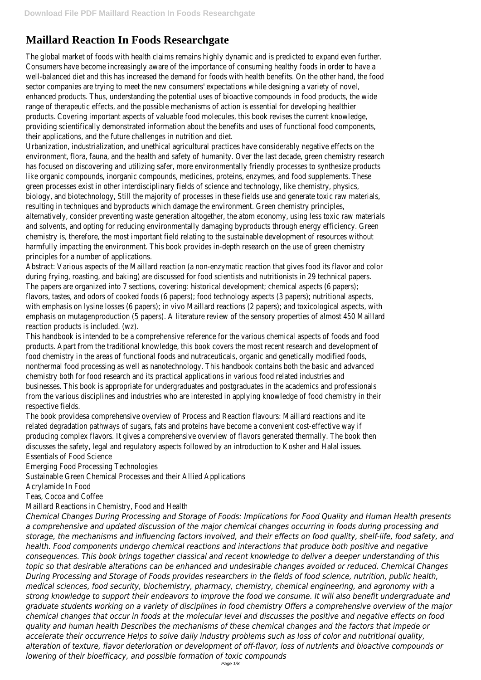# **Maillard Reaction In Foods Researchgate**

The global market of foods with health claims remains highly dynamic and is predicted to expand even further. Consumers have become increasingly aware of the importance of consuming healthy foods in order to have a well-balanced diet and this has increased the demand for foods with health benefits. On the other hand, the food sector companies are trying to meet the new consumers' expectations while designing a variety of novel, enhanced products. Thus, understanding the potential uses of bioactive compounds in food products, the wide range of therapeutic effects, and the possible mechanisms of action is essential for developing healthier products. Covering important aspects of valuable food molecules, this book revises the current knowledge, providing scientifically demonstrated information about the benefits and uses of functional food components, their applications, and the future challenges in nutrition and diet.

Urbanization, industrialization, and unethical agricultural practices have considerably negative effects on the environment, flora, fauna, and the health and safety of humanity. Over the last decade, green chemistry research has focused on discovering and utilizing safer, more environmentally friendly processes to synthesize products like organic compounds, inorganic compounds, medicines, proteins, enzymes, and food supplements. These green processes exist in other interdisciplinary fields of science and technology, like chemistry, physics, biology, and biotechnology, Still the majority of processes in these fields use and generate toxic raw materials, resulting in techniques and byproducts which damage the environment. Green chemistry principles, alternatively, consider preventing waste generation altogether, the atom economy, using less toxic raw materials and solvents, and opting for reducing environmentally damaging byproducts through energy efficiency. Green chemistry is, therefore, the most important field relating to the sustainable development of resources without harmfully impacting the environment. This book provides in-depth research on the use of green chemistry principles for a number of applications.

Abstract: Various aspects of the Maillard reaction (a non-enzymatic reaction that gives food its flavor and color during frying, roasting, and baking) are discussed for food scientists and nutritionists in 29 technical papers. The papers are organized into 7 sections, covering: historical development; chemical aspects (6 papers); flavors, tastes, and odors of cooked foods (6 papers); food technology aspects (3 papers); nutritional aspects, with emphasis on lysine losses (6 papers); in vivo Maillard reactions (2 papers); and toxicological aspects, with emphasis on mutagenproduction (5 papers). A literature review of the sensory properties of almost 450 Maillard reaction products is included. (wz).

This handbook is intended to be a comprehensive reference for the various chemical aspects of foods and food products. Apart from the traditional knowledge, this book covers the most recent research and development of food chemistry in the areas of functional foods and nutraceuticals, organic and genetically modified foods, nonthermal food processing as well as nanotechnology. This handbook contains both the basic and advanced chemistry both for food research and its practical applications in various food related industries and businesses. This book is appropriate for undergraduates and postgraduates in the academics and professionals from the various disciplines and industries who are interested in applying knowledge of food chemistry in their respective fields.

The book providesa comprehensive overview of Process and Reaction flavours: Maillard reactions and ite related degradation pathways of sugars, fats and proteins have become a convenient cost-effective way if producing complex flavors. It gives a comprehensive overview of flavors generated thermally. The book then discusses the safety, legal and regulatory aspects followed by an introduction to Kosher and Halal issues. Essentials of Food Science

Emerging Food Processing Technologies

Sustainable Green Chemical Processes and their Allied Applications

Acrylamide In Food

Teas, Cocoa and Coffee

Maillard Reactions in Chemistry, Food and Health

*Chemical Changes During Processing and Storage of Foods: Implications for Food Quality and Human Health presents a comprehensive and updated discussion of the major chemical changes occurring in foods during processing and storage, the mechanisms and influencing factors involved, and their effects on food quality, shelf-life, food safety, and health. Food components undergo chemical reactions and interactions that produce both positive and negative consequences. This book brings together classical and recent knowledge to deliver a deeper understanding of this topic so that desirable alterations can be enhanced and undesirable changes avoided or reduced. Chemical Changes During Processing and Storage of Foods provides researchers in the fields of food science, nutrition, public health, medical sciences, food security, biochemistry, pharmacy, chemistry, chemical engineering, and agronomy with a strong knowledge to support their endeavors to improve the food we consume. It will also benefit undergraduate and graduate students working on a variety of disciplines in food chemistry Offers a comprehensive overview of the major chemical changes that occur in foods at the molecular level and discusses the positive and negative effects on food quality and human health Describes the mechanisms of these chemical changes and the factors that impede or accelerate their occurrence Helps to solve daily industry problems such as loss of color and nutritional quality, alteration of texture, flavor deterioration or development of off-flavor, loss of nutrients and bioactive compounds or lowering of their bioefficacy, and possible formation of toxic compounds*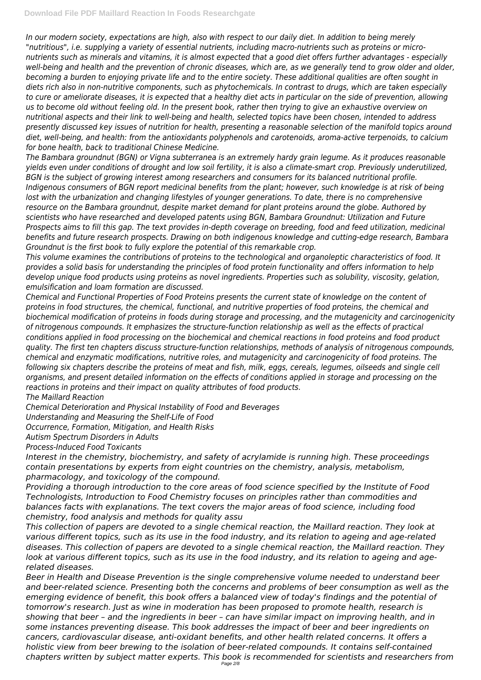*In our modern society, expectations are high, also with respect to our daily diet. In addition to being merely "nutritious", i.e. supplying a variety of essential nutrients, including macro-nutrients such as proteins or micronutrients such as minerals and vitamins, it is almost expected that a good diet offers further advantages - especially well-being and health and the prevention of chronic diseases, which are, as we generally tend to grow older and older, becoming a burden to enjoying private life and to the entire society. These additional qualities are often sought in diets rich also in non-nutritive components, such as phytochemicals. In contrast to drugs, which are taken especially to cure or ameliorate diseases, it is expected that a healthy diet acts in particular on the side of prevention, allowing us to become old without feeling old. In the present book, rather then trying to give an exhaustive overview on nutritional aspects and their link to well-being and health, selected topics have been chosen, intended to address presently discussed key issues of nutrition for health, presenting a reasonable selection of the manifold topics around diet, well-being, and health: from the antioxidants polyphenols and carotenoids, aroma-active terpenoids, to calcium for bone health, back to traditional Chinese Medicine.*

*The Bambara groundnut (BGN) or Vigna subterranea is an extremely hardy grain legume. As it produces reasonable yields even under conditions of drought and low soil fertility, it is also a climate-smart crop. Previously underutilized, BGN is the subject of growing interest among researchers and consumers for its balanced nutritional profile. Indigenous consumers of BGN report medicinal benefits from the plant; however, such knowledge is at risk of being lost with the urbanization and changing lifestyles of younger generations. To date, there is no comprehensive resource on the Bambara groundnut, despite market demand for plant proteins around the globe. Authored by scientists who have researched and developed patents using BGN, Bambara Groundnut: Utilization and Future Prospects aims to fill this gap. The text provides in-depth coverage on breeding, food and feed utilization, medicinal benefits and future research prospects. Drawing on both indigenous knowledge and cutting-edge research, Bambara Groundnut is the first book to fully explore the potential of this remarkable crop.*

*This volume examines the contributions of proteins to the technological and organoleptic characteristics of food. It provides a solid basis for understanding the principles of food protein functionality and offers information to help develop unique food products using proteins as novel ingredients. Properties such as solubility, viscosity, gelation, emulsification and loam formation are discussed.*

*Chemical and Functional Properties of Food Proteins presents the current state of knowledge on the content of proteins in food structures, the chemical, functional, and nutritive properties of food proteins, the chemical and biochemical modification of proteins in foods during storage and processing, and the mutagenicity and carcinogenicity of nitrogenous compounds. It emphasizes the structure-function relationship as well as the effects of practical conditions applied in food processing on the biochemical and chemical reactions in food proteins and food product quality. The first ten chapters discuss structure-function relationships, methods of analysis of nitrogenous compounds, chemical and enzymatic modifications, nutritive roles, and mutagenicity and carcinogenicity of food proteins. The following six chapters describe the proteins of meat and fish, milk, eggs, cereals, legumes, oilseeds and single cell organisms, and present detailed information on the effects of conditions applied in storage and processing on the reactions in proteins and their impact on quality attributes of food products.*

*The Maillard Reaction*

*Chemical Deterioration and Physical Instability of Food and Beverages*

*Understanding and Measuring the Shelf-Life of Food*

*Occurrence, Formation, Mitigation, and Health Risks*

*Autism Spectrum Disorders in Adults*

*Process-Induced Food Toxicants*

*Interest in the chemistry, biochemistry, and safety of acrylamide is running high. These proceedings contain presentations by experts from eight countries on the chemistry, analysis, metabolism, pharmacology, and toxicology of the compound.*

*Providing a thorough introduction to the core areas of food science specified by the Institute of Food Technologists, Introduction to Food Chemistry focuses on principles rather than commodities and balances facts with explanations. The text covers the major areas of food science, including food*

*chemistry, food analysis and methods for quality assu*

*This collection of papers are devoted to a single chemical reaction, the Maillard reaction. They look at various different topics, such as its use in the food industry, and its relation to ageing and age-related diseases. This collection of papers are devoted to a single chemical reaction, the Maillard reaction. They look at various different topics, such as its use in the food industry, and its relation to ageing and agerelated diseases.*

*Beer in Health and Disease Prevention is the single comprehensive volume needed to understand beer and beer-related science. Presenting both the concerns and problems of beer consumption as well as the emerging evidence of benefit, this book offers a balanced view of today's findings and the potential of tomorrow's research. Just as wine in moderation has been proposed to promote health, research is showing that beer – and the ingredients in beer – can have similar impact on improving health, and in some instances preventing disease. This book addresses the impact of beer and beer ingredients on cancers, cardiovascular disease, anti-oxidant benefits, and other health related concerns. It offers a holistic view from beer brewing to the isolation of beer-related compounds. It contains self-contained chapters written by subject matter experts. This book is recommended for scientists and researchers from* Page 2/8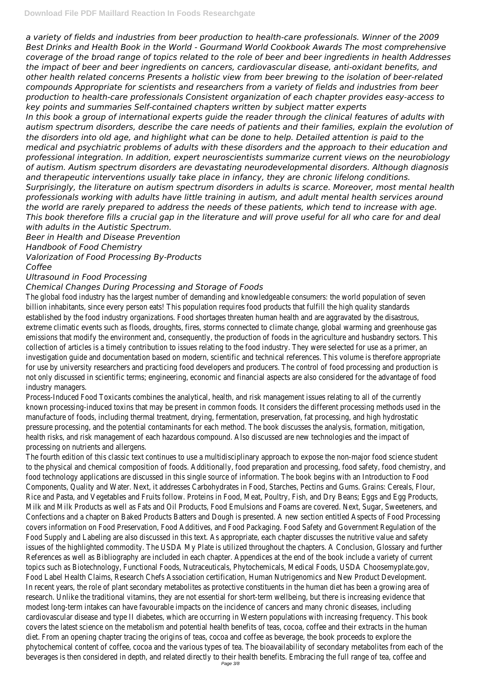*a variety of fields and industries from beer production to health-care professionals. Winner of the 2009 Best Drinks and Health Book in the World - Gourmand World Cookbook Awards The most comprehensive coverage of the broad range of topics related to the role of beer and beer ingredients in health Addresses the impact of beer and beer ingredients on cancers, cardiovascular disease, anti-oxidant benefits, and other health related concerns Presents a holistic view from beer brewing to the isolation of beer-related compounds Appropriate for scientists and researchers from a variety of fields and industries from beer production to health-care professionals Consistent organization of each chapter provides easy-access to key points and summaries Self-contained chapters written by subject matter experts In this book a group of international experts guide the reader through the clinical features of adults with autism spectrum disorders, describe the care needs of patients and their families, explain the evolution of the disorders into old age, and highlight what can be done to help. Detailed attention is paid to the medical and psychiatric problems of adults with these disorders and the approach to their education and professional integration. In addition, expert neuroscientists summarize current views on the neurobiology of autism. Autism spectrum disorders are devastating neurodevelopmental disorders. Although diagnosis and therapeutic interventions usually take place in infancy, they are chronic lifelong conditions. Surprisingly, the literature on autism spectrum disorders in adults is scarce. Moreover, most mental health professionals working with adults have little training in autism, and adult mental health services around the world are rarely prepared to address the needs of these patients, which tend to increase with age. This book therefore fills a crucial gap in the literature and will prove useful for all who care for and deal with adults in the Autistic Spectrum.*

*Beer in Health and Disease Prevention*

*Handbook of Food Chemistry*

*Valorization of Food Processing By-Products*

## *Coffee*

# *Ultrasound in Food Processing*

# *Chemical Changes During Processing and Storage of Foods*

The global food industry has the largest number of demanding and knowledgeable consumers: the world population of seven billion inhabitants, since every person eats! This population requires food products that fulfill the high quality standards established by the food industry organizations. Food shortages threaten human health and are aggravated by the disastrous, extreme climatic events such as floods, droughts, fires, storms connected to climate change, global warming and greenhouse gas emissions that modify the environment and, consequently, the production of foods in the agriculture and husbandry sectors. This collection of articles is a timely contribution to issues relating to the food industry. They were selected for use as a primer, an investigation guide and documentation based on modern, scientific and technical references. This volume is therefore appropriate for use by university researchers and practicing food developers and producers. The control of food processing and production is not only discussed in scientific terms; engineering, economic and financial aspects are also considered for the advantage of food industry managers.

Process-Induced Food Toxicants combines the analytical, health, and risk management issues relating to all of the currently known processing-induced toxins that may be present in common foods. It considers the different processing methods used in the manufacture of foods, including thermal treatment, drying, fermentation, preservation, fat processing, and high hydrostatic pressure processing, and the potential contaminants for each method. The book discusses the analysis, formation, mitigation, health risks, and risk management of each hazardous compound. Also discussed are new technologies and the impact of processing on nutrients and allergens.

The fourth edition of this classic text continues to use a multidisciplinary approach to expose the non-major food science student to the physical and chemical composition of foods. Additionally, food preparation and processing, food safety, food chemistry, and food technology applications are discussed in this single source of information. The book begins with an Introduction to Food Components, Quality and Water. Next, it addresses Carbohydrates in Food, Starches, Pectins and Gums. Grains: Cereals, Flour, Rice and Pasta, and Vegetables and Fruits follow. Proteins in Food, Meat, Poultry, Fish, and Dry Beans; Eggs and Egg Products, Milk and Milk Products as well as Fats and Oil Products, Food Emulsions and Foams are covered. Next, Sugar, Sweeteners, and

Confections and a chapter on Baked Products Batters and Dough is presented. A new section entitled Aspects of Food Processing covers information on Food Preservation, Food Additives, and Food Packaging. Food Safety and Government Regulation of the Food Supply and Labeling are also discussed in this text. As appropriate, each chapter discusses the nutritive value and safety issues of the highlighted commodity. The USDA My Plate is utilized throughout the chapters. A Conclusion, Glossary and further References as well as Bibliography are included in each chapter. Appendices at the end of the book include a variety of current topics such as Biotechnology, Functional Foods, Nutraceuticals, Phytochemicals, Medical Foods, USDA Choosemyplate.gov, Food Label Health Claims, Research Chefs Association certification, Human Nutrigenomics and New Product Development. In recent years, the role of plant secondary metabolites as protective constituents in the human diet has been a growing area of research. Unlike the traditional vitamins, they are not essential for short-term wellbeing, but there is increasing evidence that modest long-term intakes can have favourable impacts on the incidence of cancers and many chronic diseases, including cardiovascular disease and type II diabetes, which are occurring in Western populations with increasing frequency. This book covers the latest science on the metabolism and potential health benefits of teas, cocoa, coffee and their extracts in the human diet. From an opening chapter tracing the origins of teas, cocoa and coffee as beverage, the book proceeds to explore the phytochemical content of coffee, cocoa and the various types of tea. The bioavailability of secondary metabolites from each of the beverages is then considered in depth, and related directly to their health benefits. Embracing the full range of tea, coffee and Page 3/8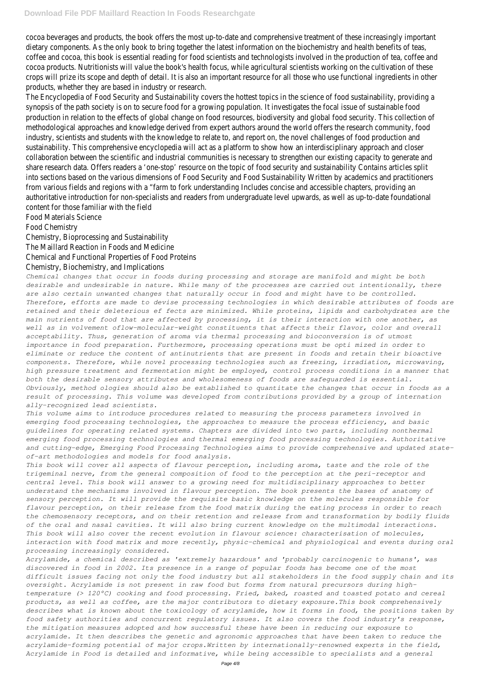cocoa beverages and products, the book offers the most up-to-date and comprehensive treatment of these increasingly important dietary components. As the only book to bring together the latest information on the biochemistry and health benefits of teas, coffee and cocoa, this book is essential reading for food scientists and technologists involved in the production of tea, coffee and cocoa products. Nutritionists will value the book's health focus, while agricultural scientists working on the cultivation of these crops will prize its scope and depth of detail. It is also an important resource for all those who use functional ingredients in other products, whether they are based in industry or research.

The Encyclopedia of Food Security and Sustainability covers the hottest topics in the science of food sustainability, providing a synopsis of the path society is on to secure food for a growing population. It investigates the focal issue of sustainable food production in relation to the effects of global change on food resources, biodiversity and global food security. This collection of methodological approaches and knowledge derived from expert authors around the world offers the research community, food industry, scientists and students with the knowledge to relate to, and report on, the novel challenges of food production and sustainability. This comprehensive encyclopedia will act as a platform to show how an interdisciplinary approach and closer collaboration between the scientific and industrial communities is necessary to strengthen our existing capacity to generate and share research data. Offers readers a 'one-stop' resource on the topic of food security and sustainability Contains articles split into sections based on the various dimensions of Food Security and Food Sustainability Written by academics and practitioners from various fields and regions with a "farm to fork understanding Includes concise and accessible chapters, providing an authoritative introduction for non-specialists and readers from undergraduate level upwards, as well as up-to-date foundational content for those familiar with the field

Food Materials Science

Food Chemistry

Chemistry, Bioprocessing and Sustainability

The Maillard Reaction in Foods and Medicine

Chemical and Functional Properties of Food Proteins

## Chemistry, Biochemistry, and Implications

*Chemical changes that occur in foods during processing and storage are manifold and might be both desirable and undesirable in nature. While many of the processes are carried out intentionally, there are also certain unwanted changes that naturally occur in food and might have to be controlled. Therefore, efforts are made to devise processing technologies in which desirable attributes of foods are retained and their deleterious ef fects are minimized. While proteins, lipids and carbohydrates are the main nutrients of food that are affected by processing, it is their interaction with one another, as well as in volvement oflow-molecular-weight constituents that affects their flavor, color and overall acceptability. Thus, generation of aroma via thermal processing and bioconversion is of utmost importance in food preparation. Furthermore, processing operations must be opti mized in order to eliminate or reduce the content of antinutrients that are present in foods and retain their bioactive components. Therefore, while novel processing technologies such as freezing, irradiation, microwaving, high pressure treatment and fermentation might be employed, control process conditions in a manner that both the desirable sensory attributes and wholesomeness of foods are safeguarded is essential. Obviously, method ologies should also be established to quantitate the changes that occur in foods as a result of processing. This volume was developed from contributions provided by a group of internation ally-recognized lead scientists.*

*This volume aims to introduce procedures related to measuring the process parameters involved in emerging food processing technologies, the approaches to measure the process efficiency, and basic guidelines for operating related systems. Chapters are divided into two parts, including nonthermal emerging food processing technologies and thermal emerging food processing technologies. Authoritative and cutting-edge, Emerging Food Processing Technologies aims to provide comprehensive and updated stateof-art methodologies and models for food analysis.*

*This book will cover all aspects of flavour perception, including aroma, taste and the role of the trigeminal nerve, from the general composition of food to the perception at the peri-receptor and central level. This book will answer to a growing need for multidisciplinary approaches to better understand the mechanisms involved in flavour perception. The book presents the bases of anatomy of sensory perception. It will provide the requisite basic knowledge on the molecules responsible for flavour perception, on their release from the food matrix during the eating process in order to reach*

*the chemosensory receptors, and on their retention and release from and transformation by bodily fluids of the oral and nasal cavities. It will also bring current knowledge on the multimodal interactions. This book will also cover the recent evolution in flavour science: characterisation of molecules, interaction with food matrix and more recently, physic-chemical and physiological and events during oral processing increasingly considered.*

*Acrylamide, a chemical described as 'extremely hazardous' and 'probably carcinogenic to humans', was discovered in food in 2002. Its presence in a range of popular foods has become one of the most difficult issues facing not only the food industry but all stakeholders in the food supply chain and its oversight. Acrylamide is not present in raw food but forms from natural precursors during hightemperature (> 120°C) cooking and food processing. Fried, baked, roasted and toasted potato and cereal products, as well as coffee, are the major contributors to dietary exposure.This book comprehensively describes what is known about the toxicology of acrylamide, how it forms in food, the positions taken by food safety authorities and concurrent regulatory issues. It also covers the food industry's response, the mitigation measures adopted and how successful these have been in reducing our exposure to acrylamide. It then describes the genetic and agronomic approaches that have been taken to reduce the acrylamide-forming potential of major crops.Written by internationally-renowned experts in the field, Acrylamide in Food is detailed and informative, while being accessible to specialists and a general*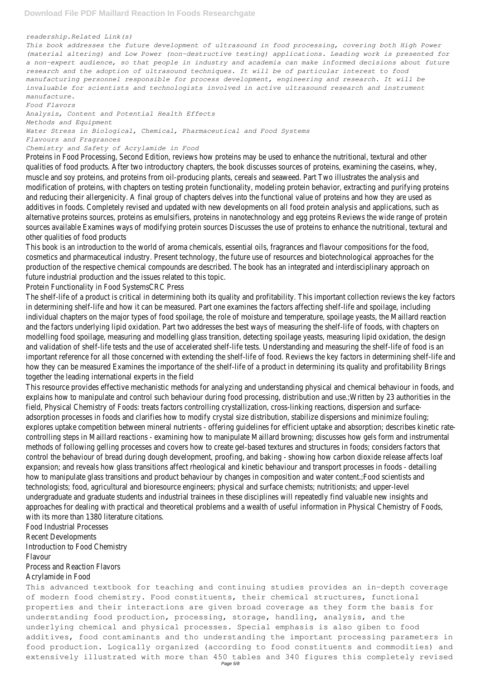#### *readership.Related Link(s)*

*This book addresses the future development of ultrasound in food processing, covering both High Power (material altering) and Low Power (non-destructive testing) applications. Leading work is presented for a non-expert audience, so that people in industry and academia can make informed decisions about future research and the adoption of ultrasound techniques. It will be of particular interest to food manufacturing personnel responsible for process development, engineering and research. It will be invaluable for scientists and technologists involved in active ultrasound research and instrument manufacture.*

*Food Flavors*

*Analysis, Content and Potential Health Effects Methods and Equipment Water Stress in Biological, Chemical, Pharmaceutical and Food Systems Flavours and Fragrances*

## *Chemistry and Safety of Acrylamide in Food*

Proteins in Food Processing, Second Edition, reviews how proteins may be used to enhance the nutritional, textural and other qualities of food products. After two introductory chapters, the book discusses sources of proteins, examining the caseins, whey, muscle and soy proteins, and proteins from oil-producing plants, cereals and seaweed. Part Two illustrates the analysis and modification of proteins, with chapters on testing protein functionality, modeling protein behavior, extracting and purifying proteins and reducing their allergenicity. A final group of chapters delves into the functional value of proteins and how they are used as additives in foods. Completely revised and updated with new developments on all food protein analysis and applications, such as alternative proteins sources, proteins as emulsifiers, proteins in nanotechnology and egg proteins Reviews the wide range of protein sources available Examines ways of modifying protein sources Discusses the use of proteins to enhance the nutritional, textural and other qualities of food products

This book is an introduction to the world of aroma chemicals, essential oils, fragrances and flavour compositions for the food, cosmetics and pharmaceutical industry. Present technology, the future use of resources and biotechnological approaches for the production of the respective chemical compounds are described. The book has an integrated and interdisciplinary approach on future industrial production and the issues related to this topic.

Protein Functionality in Food SystemsCRC Press

The shelf-life of a product is critical in determining both its quality and profitability. This important collection reviews the key factors in determining shelf-life and how it can be measured. Part one examines the factors affecting shelf-life and spoilage, including individual chapters on the major types of food spoilage, the role of moisture and temperature, spoilage yeasts, the Maillard reaction and the factors underlying lipid oxidation. Part two addresses the best ways of measuring the shelf-life of foods, with chapters on modelling food spoilage, measuring and modelling glass transition, detecting spoilage yeasts, measuring lipid oxidation, the design and validation of shelf-life tests and the use of accelerated shelf-life tests. Understanding and measuring the shelf-life of food is an important reference for all those concerned with extending the shelf-life of food. Reviews the key factors in determining shelf-life and how they can be measured Examines the importance of the shelf-life of a product in determining its quality and profitability Brings together the leading international experts in the field

This resource provides effective mechanistic methods for analyzing and understanding physical and chemical behaviour in foods, and explains how to manipulate and control such behaviour during food processing, distribution and use.;Written by 23 authorities in the field, Physical Chemistry of Foods: treats factors controlling crystallization, cross-linking reactions, dispersion and surfaceadsorption processes in foods and clarifies how to modify crystal size distribution, stabilize dispersions and minimize fouling; explores uptake competition between mineral nutrients - offering guidelines for efficient uptake and absorption; describes kinetic ratecontrolling steps in Maillard reactions - examining how to manipulate Maillard browning; discusses how gels form and instrumental methods of following gelling processes and covers how to create gel-based textures and structures in foods; considers factors that control the behaviour of bread during dough development, proofing, and baking - showing how carbon dioxide release affects loaf expansion; and reveals how glass transitions affect rheological and kinetic behaviour and transport processes in foods - detailing how to manipulate glass transitions and product behaviour by changes in composition and water content.;Food scientists and technologists; food, agricultural and bioresource engineers; physical and surface chemists; nutritionists; and upper-level undergraduate and graduate students and industrial trainees in these disciplines will repeatedly find valuable new insights and approaches for dealing with practical and theoretical problems and a wealth of useful information in Physical Chemistry of Foods,

with its more than 1380 literature citations. Food Industrial Processes Recent Developments Introduction to Food Chemistry Flavour

Process and Reaction Flavors Acrylamide in Food

This advanced textbook for teaching and continuing studies provides an in-depth coverage of modern food chemistry. Food constituents, their chemical structures, functional properties and their interactions are given broad coverage as they form the basis for understanding food production, processing, storage, handling, analysis, and the underlying chemical and physical processes. Special emphasis is also giben to food additives, food contaminants and tho understanding the important processing parameters in food production. Logically organized (according to food constituents and commodities) and extensively illustrated with more than 450 tables and 340 figures this completely revised Page 5/8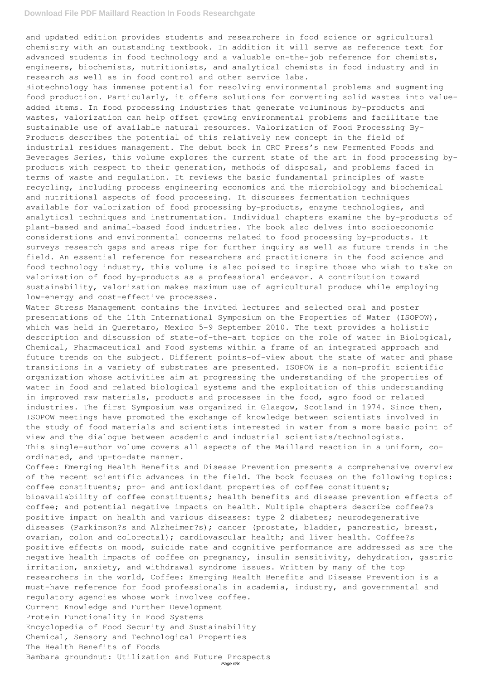and updated edition provides students and researchers in food science or agricultural chemistry with an outstanding textbook. In addition it will serve as reference text for advanced students in food technology and a valuable on-the-job reference for chemists, engineers, biochemists, nutritionists, and analytical chemists in food industry and in research as well as in food control and other service labs.

Biotechnology has immense potential for resolving environmental problems and augmenting food production. Particularly, it offers solutions for converting solid wastes into valueadded items. In food processing industries that generate voluminous by-products and wastes, valorization can help offset growing environmental problems and facilitate the sustainable use of available natural resources. Valorization of Food Processing By-Products describes the potential of this relatively new concept in the field of industrial residues management. The debut book in CRC Press's new Fermented Foods and Beverages Series, this volume explores the current state of the art in food processing byproducts with respect to their generation, methods of disposal, and problems faced in terms of waste and regulation. It reviews the basic fundamental principles of waste recycling, including process engineering economics and the microbiology and biochemical and nutritional aspects of food processing. It discusses fermentation techniques available for valorization of food processing by-products, enzyme technologies, and analytical techniques and instrumentation. Individual chapters examine the by-products of plant-based and animal-based food industries. The book also delves into socioeconomic considerations and environmental concerns related to food processing by-products. It surveys research gaps and areas ripe for further inquiry as well as future trends in the field. An essential reference for researchers and practitioners in the food science and food technology industry, this volume is also poised to inspire those who wish to take on valorization of food by-products as a professional endeavor. A contribution toward sustainability, valorization makes maximum use of agricultural produce while employing low-energy and cost-effective processes.

Water Stress Management contains the invited lectures and selected oral and poster presentations of the 11th International Symposium on the Properties of Water (ISOPOW), which was held in Queretaro, Mexico 5-9 September 2010. The text provides a holistic description and discussion of state-of-the-art topics on the role of water in Biological, Chemical, Pharmaceutical and Food systems within a frame of an integrated approach and future trends on the subject. Different points-of-view about the state of water and phase transitions in a variety of substrates are presented. ISOPOW is a non-profit scientific organization whose activities aim at progressing the understanding of the properties of water in food and related biological systems and the exploitation of this understanding in improved raw materials, products and processes in the food, agro food or related industries. The first Symposium was organized in Glasgow, Scotland in 1974. Since then, ISOPOW meetings have promoted the exchange of knowledge between scientists involved in the study of food materials and scientists interested in water from a more basic point of view and the dialogue between academic and industrial scientists/technologists. This single-author volume covers all aspects of the Maillard reaction in a uniform, coordinated, and up-to-date manner.

Coffee: Emerging Health Benefits and Disease Prevention presents a comprehensive overview of the recent scientific advances in the field. The book focuses on the following topics: coffee constituents; pro– and antioxidant properties of coffee constituents; bioavailability of coffee constituents; health benefits and disease prevention effects of coffee; and potential negative impacts on health. Multiple chapters describe coffee?s

positive impact on health and various diseases: type 2 diabetes; neurodegenerative diseases (Parkinson?s and Alzheimer?s); cancer (prostate, bladder, pancreatic, breast, ovarian, colon and colorectal); cardiovascular health; and liver health. Coffee?s positive effects on mood, suicide rate and cognitive performance are addressed as are the negative health impacts of coffee on pregnancy, insulin sensitivity, dehydration, gastric irritation, anxiety, and withdrawal syndrome issues. Written by many of the top researchers in the world, Coffee: Emerging Health Benefits and Disease Prevention is a must–have reference for food professionals in academia, industry, and governmental and regulatory agencies whose work involves coffee. Current Knowledge and Further Development Protein Functionality in Food Systems Encyclopedia of Food Security and Sustainability Chemical, Sensory and Technological Properties The Health Benefits of Foods Bambara groundnut: Utilization and Future Prospects Page 6/8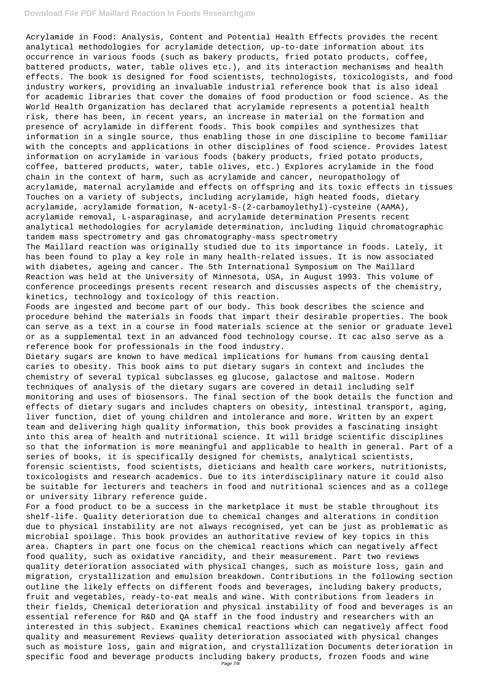### **Download File PDF Maillard Reaction In Foods Researchgate**

Acrylamide in Food: Analysis, Content and Potential Health Effects provides the recent analytical methodologies for acrylamide detection, up-to-date information about its occurrence in various foods (such as bakery products, fried potato products, coffee, battered products, water, table olives etc.), and its interaction mechanisms and health effects. The book is designed for food scientists, technologists, toxicologists, and food industry workers, providing an invaluable industrial reference book that is also ideal for academic libraries that cover the domains of food production or food science. As the World Health Organization has declared that acrylamide represents a potential health risk, there has been, in recent years, an increase in material on the formation and presence of acrylamide in different foods. This book compiles and synthesizes that information in a single source, thus enabling those in one discipline to become familiar with the concepts and applications in other disciplines of food science. Provides latest information on acrylamide in various foods (bakery products, fried potato products, coffee, battered products, water, table olives, etc.) Explores acrylamide in the food chain in the context of harm, such as acrylamide and cancer, neuropathology of acrylamide, maternal acrylamide and effects on offspring and its toxic effects in tissues Touches on a variety of subjects, including acrylamide, high heated foods, dietary acrylamide, acrylamide formation, N-acetyl-S-(2-carbamoylethyl)-cysteine (AAMA), acrylamide removal, L-asparaginase, and acrylamide determination Presents recent analytical methodologies for acrylamide determination, including liquid chromatographic tandem mass spectrometry and gas chromatography-mass spectrometry The Maillard reaction was originally studied due to its importance in foods. Lately, it has been found to play a key role in many health-related issues. It is now associated with diabetes, ageing and cancer. The 5th International Symposium on The Maillard Reaction was held at the University of Minnesota, USA, in August 1993. This volume of conference proceedings presents recent research and discusses aspects of the chemistry, kinetics, technology and toxicology of this reaction.

Foods are ingested and become part of our body. This book describes the science and procedure behind the materials in foods that impart their desirable properties. The book can serve as a text in a course in food materials science at the senior or graduate level or as a supplemental text in an advanced food technology course. It cac also serve as a reference book for professionals in the food industry.

Dietary sugars are known to have medical implications for humans from causing dental caries to obesity. This book aims to put dietary sugars in context and includes the chemistry of several typical subclasses eg glucose, galactose and maltose. Modern techniques of analysis of the dietary sugars are covered in detail including self monitoring and uses of biosensors. The final section of the book details the function and effects of dietary sugars and includes chapters on obesity, intestinal transport, aging, liver function, diet of young children and intolerance and more. Written by an expert team and delivering high quality information, this book provides a fascinating insight into this area of health and nutritional science. It will bridge scientific disciplines so that the information is more meaningful and applicable to health in general. Part of a series of books, it is specifically designed for chemists, analytical scientists, forensic scientists, food scientists, dieticians and health care workers, nutritionists, toxicologists and research academics. Due to its interdisciplinary nature it could also be suitable for lecturers and teachers in food and nutritional sciences and as a college or university library reference guide.

For a food product to be a success in the marketplace it must be stable throughout its

shelf-life. Quality deterioration due to chemical changes and alterations in condition due to physical instability are not always recognised, yet can be just as problematic as microbial spoilage. This book provides an authoritative review of key topics in this area. Chapters in part one focus on the chemical reactions which can negatively affect food quality, such as oxidative rancidity, and their measurement. Part two reviews quality deterioration associated with physical changes, such as moisture loss, gain and migration, crystallization and emulsion breakdown. Contributions in the following section outline the likely effects on different foods and beverages, including bakery products, fruit and vegetables, ready-to-eat meals and wine. With contributions from leaders in their fields, Chemical deterioration and physical instability of food and beverages is an essential reference for R&D and QA staff in the food industry and researchers with an interested in this subject. Examines chemical reactions which can negatively affect food quality and measurement Reviews quality deterioration associated with physical changes such as moisture loss, gain and migration, and crystallization Documents deterioration in specific food and beverage products including bakery products, frozen foods and wine Page 7/8